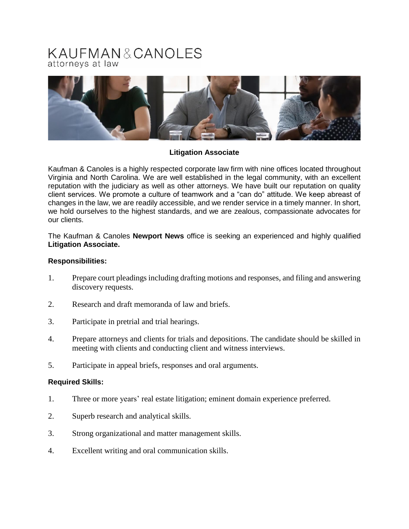# KAUFMAN&CANOLES attorneys at law



## **Litigation Associate**

Kaufman & Canoles is a highly respected corporate law firm with nine offices located throughout Virginia and North Carolina. We are well established in the legal community, with an excellent reputation with the judiciary as well as other attorneys. We have built our reputation on quality client services. We promote a culture of teamwork and a "can do" attitude. We keep abreast of changes in the law, we are readily accessible, and we render service in a timely manner. In short, we hold ourselves to the highest standards, and we are zealous, compassionate advocates for our clients.

The Kaufman & Canoles **Newport News** office is seeking an experienced and highly qualified **Litigation Associate.**

#### **Responsibilities:**

- 1. Prepare court pleadings including drafting motions and responses, and filing and answering discovery requests.
- 2. Research and draft memoranda of law and briefs.
- 3. Participate in pretrial and trial hearings.
- 4. Prepare attorneys and clients for trials and depositions. The candidate should be skilled in meeting with clients and conducting client and witness interviews.
- 5. Participate in appeal briefs, responses and oral arguments.

#### **Required Skills:**

- 1. Three or more years' real estate litigation; eminent domain experience preferred.
- 2. Superb research and analytical skills.
- 3. Strong organizational and matter management skills.
- 4. Excellent writing and oral communication skills.